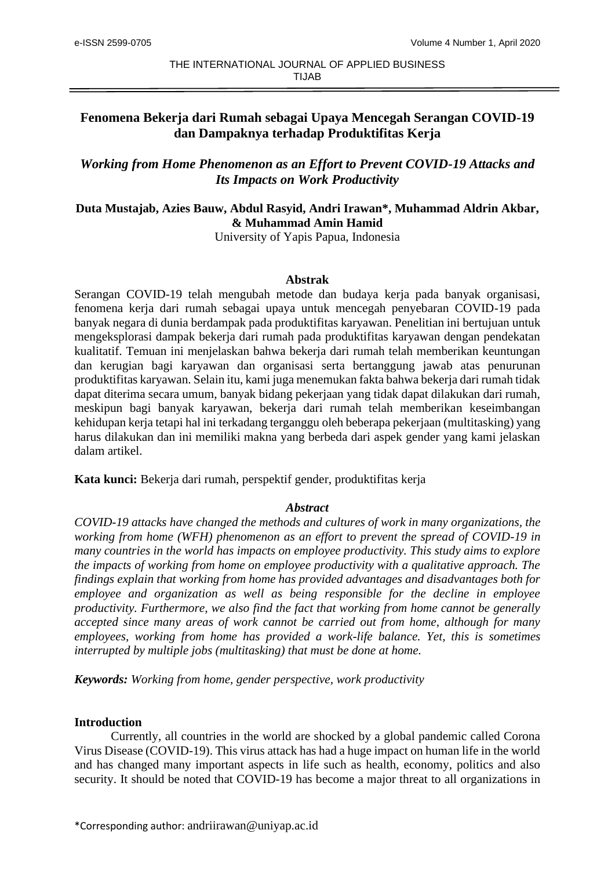# **Fenomena Bekerja dari Rumah sebagai Upaya Mencegah Serangan COVID-19 dan Dampaknya terhadap Produktifitas Kerja**

# *Working from Home Phenomenon as an Effort to Prevent COVID-19 Attacks and Its Impacts on Work Productivity*

# **Duta Mustajab, Azies Bauw, Abdul Rasyid, Andri Irawan\*, Muhammad Aldrin Akbar, & Muhammad Amin Hamid**

University of Yapis Papua, Indonesia

# **Abstrak**

Serangan COVID-19 telah mengubah metode dan budaya kerja pada banyak organisasi, fenomena kerja dari rumah sebagai upaya untuk mencegah penyebaran COVID-19 pada banyak negara di dunia berdampak pada produktifitas karyawan. Penelitian ini bertujuan untuk mengeksplorasi dampak bekerja dari rumah pada produktifitas karyawan dengan pendekatan kualitatif. Temuan ini menjelaskan bahwa bekerja dari rumah telah memberikan keuntungan dan kerugian bagi karyawan dan organisasi serta bertanggung jawab atas penurunan produktifitas karyawan. Selain itu, kami juga menemukan fakta bahwa bekerja dari rumah tidak dapat diterima secara umum, banyak bidang pekerjaan yang tidak dapat dilakukan dari rumah, meskipun bagi banyak karyawan, bekerja dari rumah telah memberikan keseimbangan kehidupan kerja tetapi hal ini terkadang terganggu oleh beberapa pekerjaan (multitasking) yang harus dilakukan dan ini memiliki makna yang berbeda dari aspek gender yang kami jelaskan dalam artikel.

**Kata kunci:** Bekerja dari rumah, perspektif gender, produktifitas kerja

# *Abstract*

*COVID-19 attacks have changed the methods and cultures of work in many organizations, the working from home (WFH) phenomenon as an effort to prevent the spread of COVID-19 in many countries in the world has impacts on employee productivity. This study aims to explore the impacts of working from home on employee productivity with a qualitative approach. The findings explain that working from home has provided advantages and disadvantages both for employee and organization as well as being responsible for the decline in employee productivity. Furthermore, we also find the fact that working from home cannot be generally accepted since many areas of work cannot be carried out from home, although for many employees, working from home has provided a work-life balance. Yet, this is sometimes interrupted by multiple jobs (multitasking) that must be done at home.*

*Keywords: Working from home, gender perspective, work productivity*

# **Introduction**

Currently, all countries in the world are shocked by a global pandemic called Corona Virus Disease (COVID-19). This virus attack has had a huge impact on human life in the world and has changed many important aspects in life such as health, economy, politics and also security. It should be noted that COVID-19 has become a major threat to all organizations in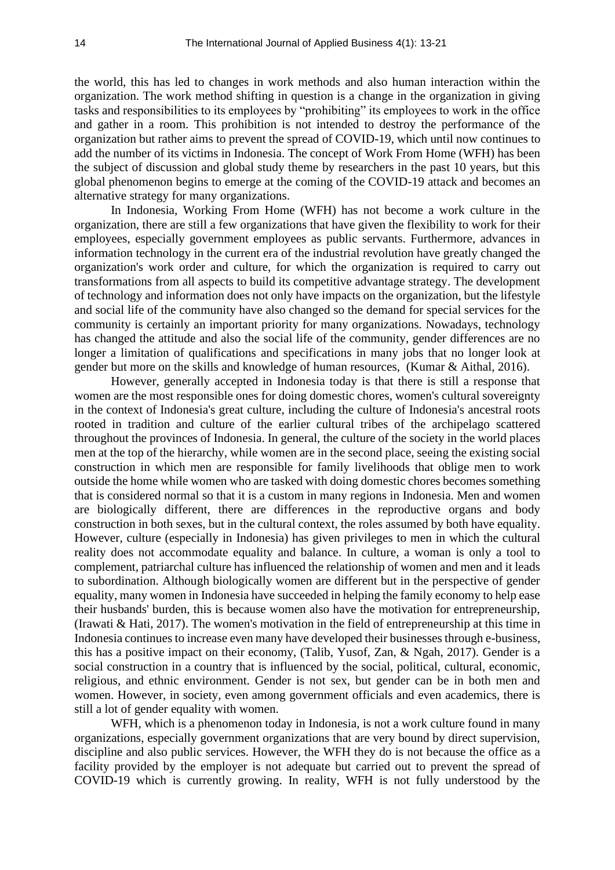the world, this has led to changes in work methods and also human interaction within the organization. The work method shifting in question is a change in the organization in giving tasks and responsibilities to its employees by "prohibiting" its employees to work in the office and gather in a room. This prohibition is not intended to destroy the performance of the organization but rather aims to prevent the spread of COVID-19, which until now continues to add the number of its victims in Indonesia. The concept of Work From Home (WFH) has been the subject of discussion and global study theme by researchers in the past 10 years, but this global phenomenon begins to emerge at the coming of the COVID-19 attack and becomes an alternative strategy for many organizations.

In Indonesia, Working From Home (WFH) has not become a work culture in the organization, there are still a few organizations that have given the flexibility to work for their employees, especially government employees as public servants. Furthermore, advances in information technology in the current era of the industrial revolution have greatly changed the organization's work order and culture, for which the organization is required to carry out transformations from all aspects to build its competitive advantage strategy. The development of technology and information does not only have impacts on the organization, but the lifestyle and social life of the community have also changed so the demand for special services for the community is certainly an important priority for many organizations. Nowadays, technology has changed the attitude and also the social life of the community, gender differences are no longer a limitation of qualifications and specifications in many jobs that no longer look at gender but more on the skills and knowledge of human resources, (Kumar & Aithal, 2016).

However, generally accepted in Indonesia today is that there is still a response that women are the most responsible ones for doing domestic chores, women's cultural sovereignty in the context of Indonesia's great culture, including the culture of Indonesia's ancestral roots rooted in tradition and culture of the earlier cultural tribes of the archipelago scattered throughout the provinces of Indonesia. In general, the culture of the society in the world places men at the top of the hierarchy, while women are in the second place, seeing the existing social construction in which men are responsible for family livelihoods that oblige men to work outside the home while women who are tasked with doing domestic chores becomes something that is considered normal so that it is a custom in many regions in Indonesia. Men and women are biologically different, there are differences in the reproductive organs and body construction in both sexes, but in the cultural context, the roles assumed by both have equality. However, culture (especially in Indonesia) has given privileges to men in which the cultural reality does not accommodate equality and balance. In culture, a woman is only a tool to complement, patriarchal culture has influenced the relationship of women and men and it leads to subordination. Although biologically women are different but in the perspective of gender equality, many women in Indonesia have succeeded in helping the family economy to help ease their husbands' burden, this is because women also have the motivation for entrepreneurship, (Irawati & Hati, 2017). The women's motivation in the field of entrepreneurship at this time in Indonesia continues to increase even many have developed their businesses through e-business, this has a positive impact on their economy, (Talib, Yusof, Zan, & Ngah, 2017). Gender is a social construction in a country that is influenced by the social, political, cultural, economic, religious, and ethnic environment. Gender is not sex, but gender can be in both men and women. However, in society, even among government officials and even academics, there is still a lot of gender equality with women.

WFH, which is a phenomenon today in Indonesia, is not a work culture found in many organizations, especially government organizations that are very bound by direct supervision, discipline and also public services. However, the WFH they do is not because the office as a facility provided by the employer is not adequate but carried out to prevent the spread of COVID-19 which is currently growing. In reality, WFH is not fully understood by the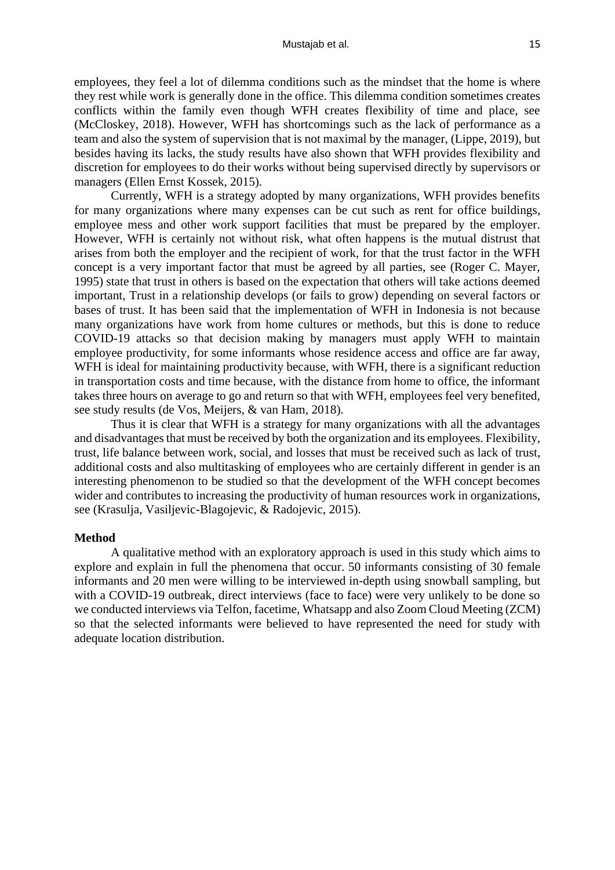employees, they feel a lot of dilemma conditions such as the mindset that the home is where they rest while work is generally done in the office. This dilemma condition sometimes creates conflicts within the family even though WFH creates flexibility of time and place, see (McCloskey, 2018). However, WFH has shortcomings such as the lack of performance as a team and also the system of supervision that is not maximal by the manager, (Lippe, 2019), but besides having its lacks, the study results have also shown that WFH provides flexibility and discretion for employees to do their works without being supervised directly by supervisors or managers (Ellen Ernst Kossek, 2015).

Currently, WFH is a strategy adopted by many organizations, WFH provides benefits for many organizations where many expenses can be cut such as rent for office buildings, employee mess and other work support facilities that must be prepared by the employer. However, WFH is certainly not without risk, what often happens is the mutual distrust that arises from both the employer and the recipient of work, for that the trust factor in the WFH concept is a very important factor that must be agreed by all parties, see (Roger C. Mayer, 1995) state that trust in others is based on the expectation that others will take actions deemed important, Trust in a relationship develops (or fails to grow) depending on several factors or bases of trust. It has been said that the implementation of WFH in Indonesia is not because many organizations have work from home cultures or methods, but this is done to reduce COVID-19 attacks so that decision making by managers must apply WFH to maintain employee productivity, for some informants whose residence access and office are far away, WFH is ideal for maintaining productivity because, with WFH, there is a significant reduction in transportation costs and time because, with the distance from home to office, the informant takes three hours on average to go and return so that with WFH, employees feel very benefited, see study results (de Vos, Meijers, & van Ham, 2018).

Thus it is clear that WFH is a strategy for many organizations with all the advantages and disadvantages that must be received by both the organization and its employees. Flexibility, trust, life balance between work, social, and losses that must be received such as lack of trust, additional costs and also multitasking of employees who are certainly different in gender is an interesting phenomenon to be studied so that the development of the WFH concept becomes wider and contributes to increasing the productivity of human resources work in organizations, see (Krasulja, Vasiljevic-Blagojevic, & Radojevic, 2015).

### **Method**

A qualitative method with an exploratory approach is used in this study which aims to explore and explain in full the phenomena that occur. 50 informants consisting of 30 female informants and 20 men were willing to be interviewed in-depth using snowball sampling, but with a COVID-19 outbreak, direct interviews (face to face) were very unlikely to be done so we conducted interviews via Telfon, facetime, Whatsapp and also Zoom Cloud Meeting (ZCM) so that the selected informants were believed to have represented the need for study with adequate location distribution.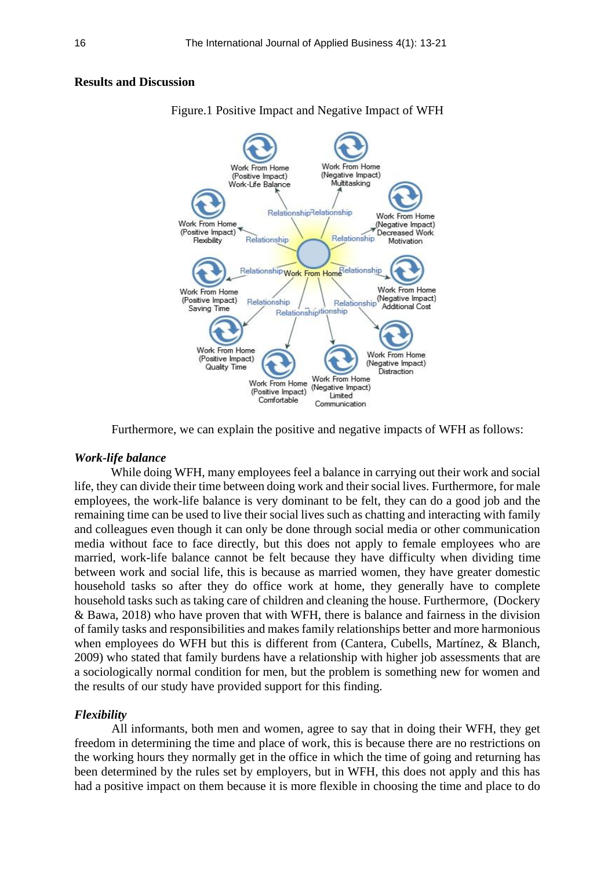# **Results and Discussion**



Figure.1 Positive Impact and Negative Impact of WFH

Furthermore, we can explain the positive and negative impacts of WFH as follows:

## *Work-life balance*

While doing WFH, many employees feel a balance in carrying out their work and social life, they can divide their time between doing work and their social lives. Furthermore, for male employees, the work-life balance is very dominant to be felt, they can do a good job and the remaining time can be used to live their social lives such as chatting and interacting with family and colleagues even though it can only be done through social media or other communication media without face to face directly, but this does not apply to female employees who are married, work-life balance cannot be felt because they have difficulty when dividing time between work and social life, this is because as married women, they have greater domestic household tasks so after they do office work at home, they generally have to complete household tasks such as taking care of children and cleaning the house. Furthermore, (Dockery & Bawa, 2018) who have proven that with WFH, there is balance and fairness in the division of family tasks and responsibilities and makes family relationships better and more harmonious when employees do WFH but this is different from (Cantera, Cubells, Martínez, & Blanch, 2009) who stated that family burdens have a relationship with higher job assessments that are a sociologically normal condition for men, but the problem is something new for women and the results of our study have provided support for this finding.

## *Flexibility*

All informants, both men and women, agree to say that in doing their WFH, they get freedom in determining the time and place of work, this is because there are no restrictions on the working hours they normally get in the office in which the time of going and returning has been determined by the rules set by employers, but in WFH, this does not apply and this has had a positive impact on them because it is more flexible in choosing the time and place to do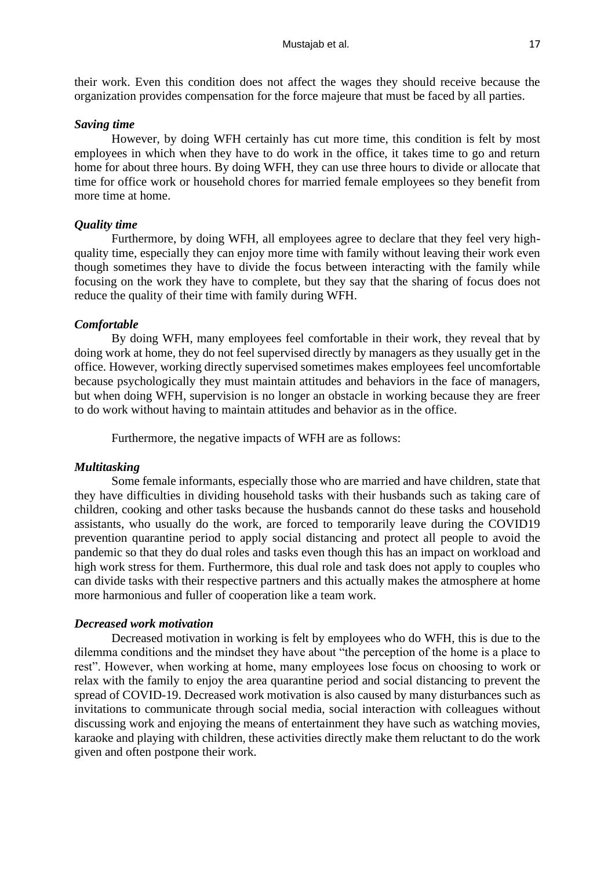their work. Even this condition does not affect the wages they should receive because the organization provides compensation for the force majeure that must be faced by all parties.

## *Saving time*

However, by doing WFH certainly has cut more time, this condition is felt by most employees in which when they have to do work in the office, it takes time to go and return home for about three hours. By doing WFH, they can use three hours to divide or allocate that time for office work or household chores for married female employees so they benefit from more time at home.

# *Quality time*

Furthermore, by doing WFH, all employees agree to declare that they feel very highquality time, especially they can enjoy more time with family without leaving their work even though sometimes they have to divide the focus between interacting with the family while focusing on the work they have to complete, but they say that the sharing of focus does not reduce the quality of their time with family during WFH.

#### *Comfortable*

By doing WFH, many employees feel comfortable in their work, they reveal that by doing work at home, they do not feel supervised directly by managers as they usually get in the office. However, working directly supervised sometimes makes employees feel uncomfortable because psychologically they must maintain attitudes and behaviors in the face of managers, but when doing WFH, supervision is no longer an obstacle in working because they are freer to do work without having to maintain attitudes and behavior as in the office.

Furthermore, the negative impacts of WFH are as follows:

#### *Multitasking*

Some female informants, especially those who are married and have children, state that they have difficulties in dividing household tasks with their husbands such as taking care of children, cooking and other tasks because the husbands cannot do these tasks and household assistants, who usually do the work, are forced to temporarily leave during the COVID19 prevention quarantine period to apply social distancing and protect all people to avoid the pandemic so that they do dual roles and tasks even though this has an impact on workload and high work stress for them. Furthermore, this dual role and task does not apply to couples who can divide tasks with their respective partners and this actually makes the atmosphere at home more harmonious and fuller of cooperation like a team work.

## *Decreased work motivation*

Decreased motivation in working is felt by employees who do WFH, this is due to the dilemma conditions and the mindset they have about "the perception of the home is a place to rest". However, when working at home, many employees lose focus on choosing to work or relax with the family to enjoy the area quarantine period and social distancing to prevent the spread of COVID-19. Decreased work motivation is also caused by many disturbances such as invitations to communicate through social media, social interaction with colleagues without discussing work and enjoying the means of entertainment they have such as watching movies, karaoke and playing with children, these activities directly make them reluctant to do the work given and often postpone their work.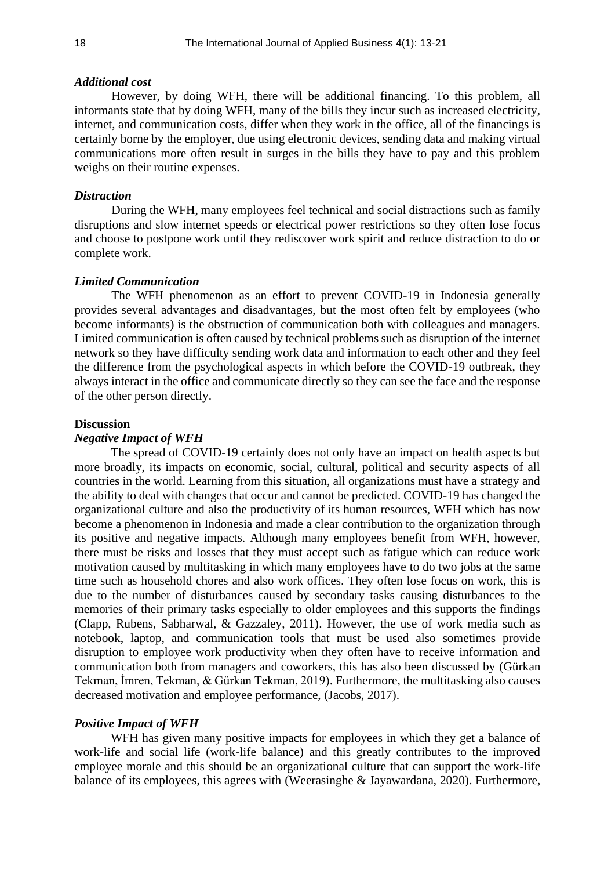#### *Additional cost*

However, by doing WFH, there will be additional financing. To this problem, all informants state that by doing WFH, many of the bills they incur such as increased electricity, internet, and communication costs, differ when they work in the office, all of the financings is certainly borne by the employer, due using electronic devices, sending data and making virtual communications more often result in surges in the bills they have to pay and this problem weighs on their routine expenses.

#### *Distraction*

During the WFH, many employees feel technical and social distractions such as family disruptions and slow internet speeds or electrical power restrictions so they often lose focus and choose to postpone work until they rediscover work spirit and reduce distraction to do or complete work.

#### *Limited Communication*

The WFH phenomenon as an effort to prevent COVID-19 in Indonesia generally provides several advantages and disadvantages, but the most often felt by employees (who become informants) is the obstruction of communication both with colleagues and managers. Limited communication is often caused by technical problems such as disruption of the internet network so they have difficulty sending work data and information to each other and they feel the difference from the psychological aspects in which before the COVID-19 outbreak, they always interact in the office and communicate directly so they can see the face and the response of the other person directly.

#### **Discussion**

### *Negative Impact of WFH*

The spread of COVID-19 certainly does not only have an impact on health aspects but more broadly, its impacts on economic, social, cultural, political and security aspects of all countries in the world. Learning from this situation, all organizations must have a strategy and the ability to deal with changes that occur and cannot be predicted. COVID-19 has changed the organizational culture and also the productivity of its human resources, WFH which has now become a phenomenon in Indonesia and made a clear contribution to the organization through its positive and negative impacts. Although many employees benefit from WFH, however, there must be risks and losses that they must accept such as fatigue which can reduce work motivation caused by multitasking in which many employees have to do two jobs at the same time such as household chores and also work offices. They often lose focus on work, this is due to the number of disturbances caused by secondary tasks causing disturbances to the memories of their primary tasks especially to older employees and this supports the findings (Clapp, Rubens, Sabharwal, & Gazzaley, 2011). However, the use of work media such as notebook, laptop, and communication tools that must be used also sometimes provide disruption to employee work productivity when they often have to receive information and communication both from managers and coworkers, this has also been discussed by (Gürkan Tekman, İmren, Tekman, & Gürkan Tekman, 2019). Furthermore, the multitasking also causes decreased motivation and employee performance, (Jacobs, 2017).

#### *Positive Impact of WFH*

WFH has given many positive impacts for employees in which they get a balance of work-life and social life (work-life balance) and this greatly contributes to the improved employee morale and this should be an organizational culture that can support the work-life balance of its employees, this agrees with (Weerasinghe & Jayawardana, 2020). Furthermore,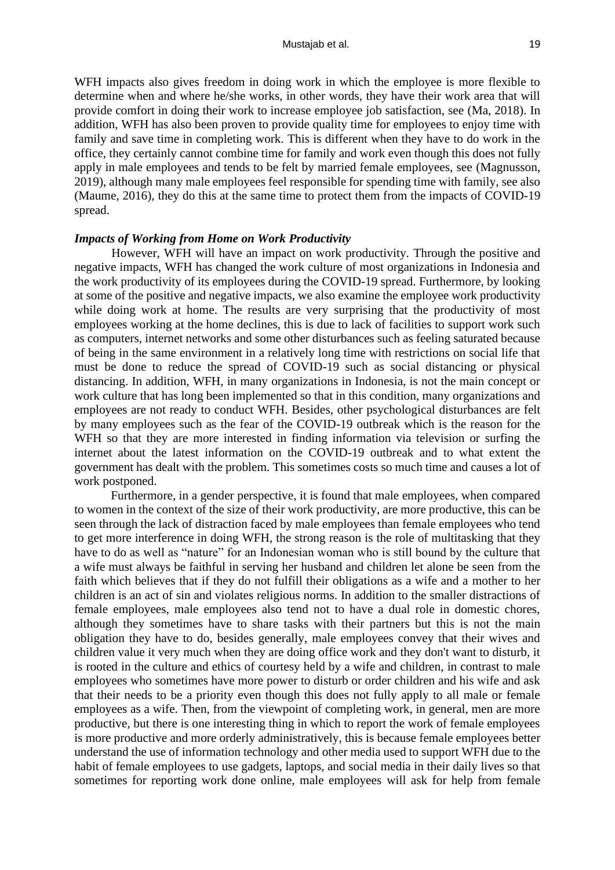WFH impacts also gives freedom in doing work in which the employee is more flexible to determine when and where he/she works, in other words, they have their work area that will provide comfort in doing their work to increase employee job satisfaction, see (Ma, 2018). In addition, WFH has also been proven to provide quality time for employees to enjoy time with family and save time in completing work. This is different when they have to do work in the office, they certainly cannot combine time for family and work even though this does not fully apply in male employees and tends to be felt by married female employees, see (Magnusson, 2019), although many male employees feel responsible for spending time with family, see also (Maume, 2016), they do this at the same time to protect them from the impacts of COVID-19 spread.

#### *Impacts of Working from Home on Work Productivity*

However, WFH will have an impact on work productivity. Through the positive and negative impacts, WFH has changed the work culture of most organizations in Indonesia and the work productivity of its employees during the COVID-19 spread. Furthermore, by looking at some of the positive and negative impacts, we also examine the employee work productivity while doing work at home. The results are very surprising that the productivity of most employees working at the home declines, this is due to lack of facilities to support work such as computers, internet networks and some other disturbances such as feeling saturated because of being in the same environment in a relatively long time with restrictions on social life that must be done to reduce the spread of COVID-19 such as social distancing or physical distancing. In addition, WFH, in many organizations in Indonesia, is not the main concept or work culture that has long been implemented so that in this condition, many organizations and employees are not ready to conduct WFH. Besides, other psychological disturbances are felt by many employees such as the fear of the COVID-19 outbreak which is the reason for the WFH so that they are more interested in finding information via television or surfing the internet about the latest information on the COVID-19 outbreak and to what extent the government has dealt with the problem. This sometimes costs so much time and causes a lot of work postponed.

Furthermore, in a gender perspective, it is found that male employees, when compared to women in the context of the size of their work productivity, are more productive, this can be seen through the lack of distraction faced by male employees than female employees who tend to get more interference in doing WFH, the strong reason is the role of multitasking that they have to do as well as "nature" for an Indonesian woman who is still bound by the culture that a wife must always be faithful in serving her husband and children let alone be seen from the faith which believes that if they do not fulfill their obligations as a wife and a mother to her children is an act of sin and violates religious norms. In addition to the smaller distractions of female employees, male employees also tend not to have a dual role in domestic chores, although they sometimes have to share tasks with their partners but this is not the main obligation they have to do, besides generally, male employees convey that their wives and children value it very much when they are doing office work and they don't want to disturb, it is rooted in the culture and ethics of courtesy held by a wife and children, in contrast to male employees who sometimes have more power to disturb or order children and his wife and ask that their needs to be a priority even though this does not fully apply to all male or female employees as a wife. Then, from the viewpoint of completing work, in general, men are more productive, but there is one interesting thing in which to report the work of female employees is more productive and more orderly administratively, this is because female employees better understand the use of information technology and other media used to support WFH due to the habit of female employees to use gadgets, laptops, and social media in their daily lives so that sometimes for reporting work done online, male employees will ask for help from female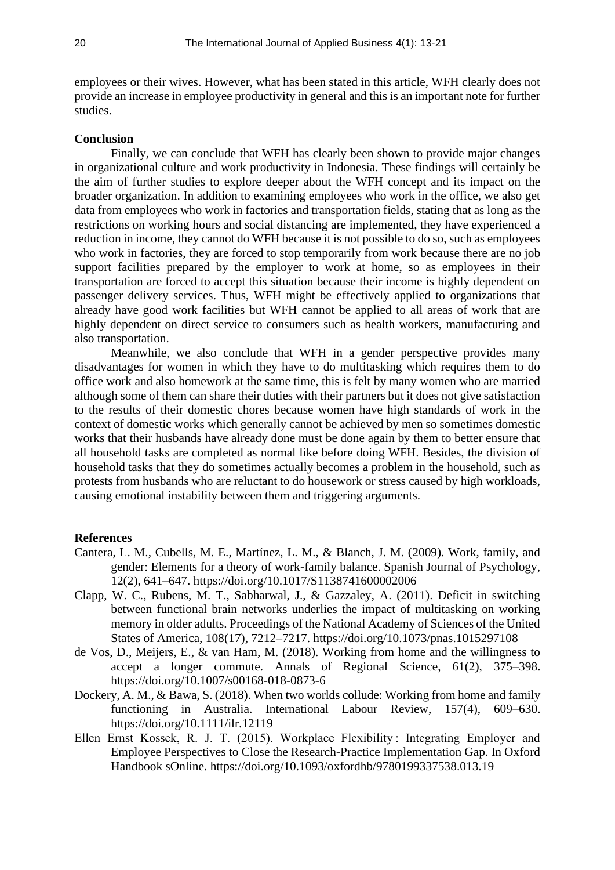employees or their wives. However, what has been stated in this article, WFH clearly does not provide an increase in employee productivity in general and this is an important note for further studies.

#### **Conclusion**

Finally, we can conclude that WFH has clearly been shown to provide major changes in organizational culture and work productivity in Indonesia. These findings will certainly be the aim of further studies to explore deeper about the WFH concept and its impact on the broader organization. In addition to examining employees who work in the office, we also get data from employees who work in factories and transportation fields, stating that as long as the restrictions on working hours and social distancing are implemented, they have experienced a reduction in income, they cannot do WFH because it is not possible to do so, such as employees who work in factories, they are forced to stop temporarily from work because there are no job support facilities prepared by the employer to work at home, so as employees in their transportation are forced to accept this situation because their income is highly dependent on passenger delivery services. Thus, WFH might be effectively applied to organizations that already have good work facilities but WFH cannot be applied to all areas of work that are highly dependent on direct service to consumers such as health workers, manufacturing and also transportation.

Meanwhile, we also conclude that WFH in a gender perspective provides many disadvantages for women in which they have to do multitasking which requires them to do office work and also homework at the same time, this is felt by many women who are married although some of them can share their duties with their partners but it does not give satisfaction to the results of their domestic chores because women have high standards of work in the context of domestic works which generally cannot be achieved by men so sometimes domestic works that their husbands have already done must be done again by them to better ensure that all household tasks are completed as normal like before doing WFH. Besides, the division of household tasks that they do sometimes actually becomes a problem in the household, such as protests from husbands who are reluctant to do housework or stress caused by high workloads, causing emotional instability between them and triggering arguments.

#### **References**

- Cantera, L. M., Cubells, M. E., Martínez, L. M., & Blanch, J. M. (2009). Work, family, and gender: Elements for a theory of work-family balance. Spanish Journal of Psychology, 12(2), 641–647. https://doi.org/10.1017/S1138741600002006
- Clapp, W. C., Rubens, M. T., Sabharwal, J., & Gazzaley, A. (2011). Deficit in switching between functional brain networks underlies the impact of multitasking on working memory in older adults. Proceedings of the National Academy of Sciences of the United States of America, 108(17), 7212–7217. https://doi.org/10.1073/pnas.1015297108
- de Vos, D., Meijers, E., & van Ham, M. (2018). Working from home and the willingness to accept a longer commute. Annals of Regional Science, 61(2), 375–398. https://doi.org/10.1007/s00168-018-0873-6
- Dockery, A. M., & Bawa, S. (2018). When two worlds collude: Working from home and family functioning in Australia. International Labour Review, 157(4), 609–630. https://doi.org/10.1111/ilr.12119
- Ellen Ernst Kossek, R. J. T. (2015). Workplace Flexibility : Integrating Employer and Employee Perspectives to Close the Research-Practice Implementation Gap. In Oxford Handbook sOnline. https://doi.org/10.1093/oxfordhb/9780199337538.013.19